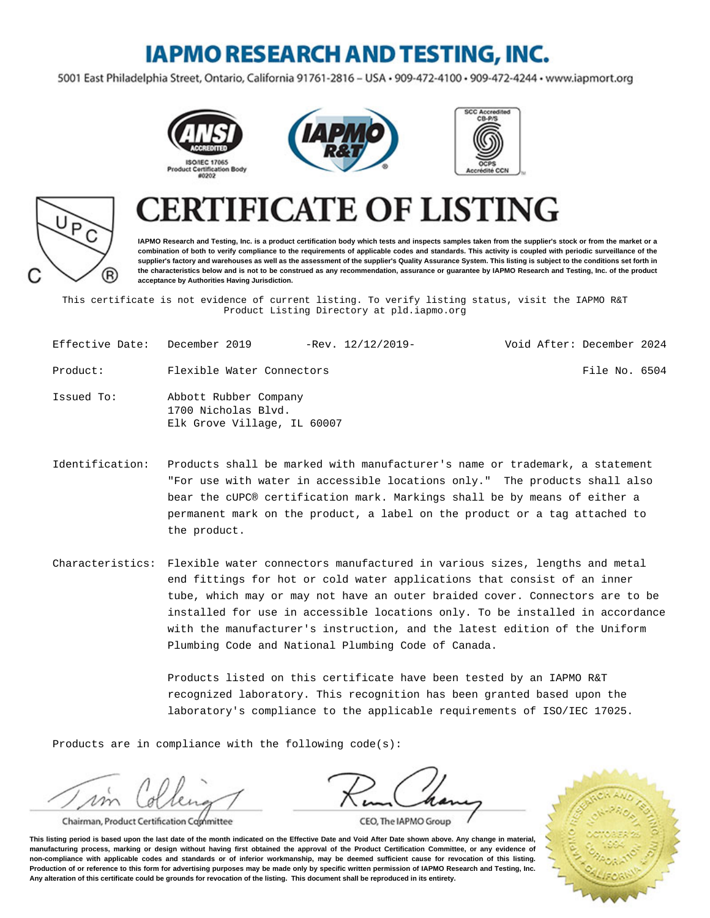## **IAPMO RESEARCH AND TESTING, INC.**

5001 East Philadelphia Street, Ontario, California 91761-2816 - USA · 909-472-4100 · 909-472-4244 · www.iapmort.org







# P R)

## **CATE OF LISTING**

**IAPMO Research and Testing, Inc. is a product certification body which tests and inspects samples taken from the supplier's stock or from the market or a combination of both to verify compliance to the requirements of applicable codes and standards. This activity is coupled with periodic surveillance of the supplier's factory and warehouses as well as the assessment of the supplier's Quality Assurance System. This listing is subject to the conditions set forth in the characteristics below and is not to be construed as any recommendation, assurance or guarantee by IAPMO Research and Testing, Inc. of the product acceptance by Authorities Having Jurisdiction.**

This certificate is not evidence of current listing. To verify listing status, visit the IAPMO R&T Product Listing Directory at pld.iapmo.org

| Effective Date: December 2019 |                                                                             | $-$ Rev. $12/12/2019-$ | Void After: December 2024 |               |  |
|-------------------------------|-----------------------------------------------------------------------------|------------------------|---------------------------|---------------|--|
| Product:                      | Flexible Water Connectors                                                   |                        |                           | File No. 6504 |  |
| Issued To:                    | Abbott Rubber Company<br>1700 Nicholas Blvd.<br>Elk Grove Village, IL 60007 |                        |                           |               |  |

- Identification: Products shall be marked with manufacturer's name or trademark, a statement "For use with water in accessible locations only." The products shall also bear the cUPC® certification mark. Markings shall be by means of either a permanent mark on the product, a label on the product or a tag attached to the product.
- Characteristics: Flexible water connectors manufactured in various sizes, lengths and metal end fittings for hot or cold water applications that consist of an inner tube, which may or may not have an outer braided cover. Connectors are to be installed for use in accessible locations only. To be installed in accordance with the manufacturer's instruction, and the latest edition of the Uniform Plumbing Code and National Plumbing Code of Canada.

Products listed on this certificate have been tested by an IAPMO R&T recognized laboratory. This recognition has been granted based upon the laboratory's compliance to the applicable requirements of ISO/IEC 17025.

Products are in compliance with the following code(s):

Chairman, Product Certification Committee

CEO, The IAPMO Group

**This listing period is based upon the last date of the month indicated on the Effective Date and Void After Date shown above. Any change in material, manufacturing process, marking or design without having first obtained the approval of the Product Certification Committee, or any evidence of non-compliance with applicable codes and standards or of inferior workmanship, may be deemed sufficient cause for revocation of this listing. Production of or reference to this form for advertising purposes may be made only by specific written permission of IAPMO Research and Testing, Inc. Any alteration of this certificate could be grounds for revocation of the listing. This document shall be reproduced in its entirety.**

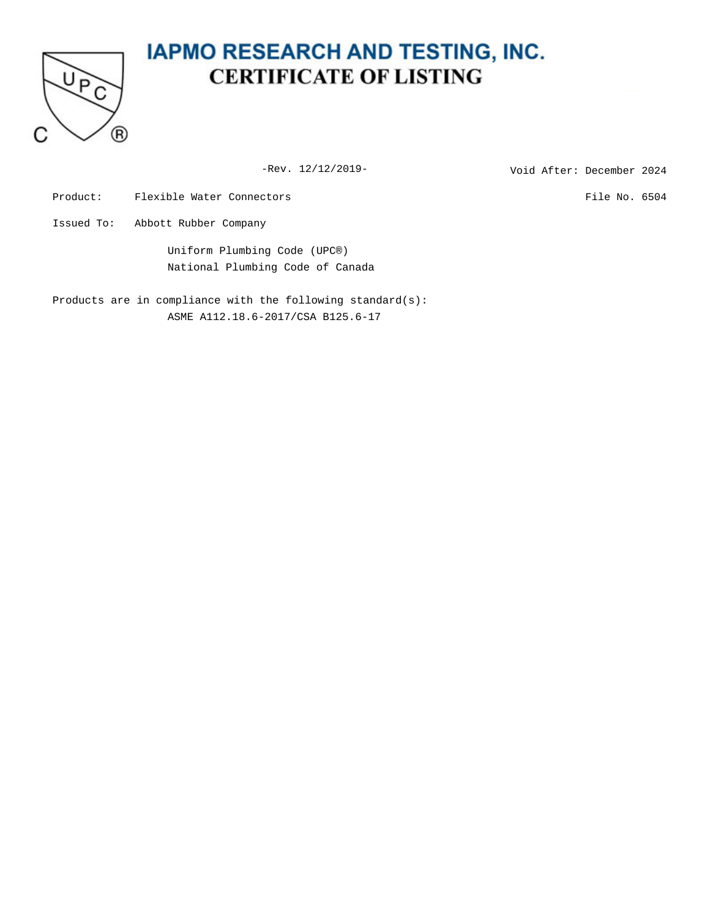

## **IAPMO RESEARCH AND TESTING, INC. CERTIFICATE OF LISTING**

-Rev. 12/12/2019-<br>
Void After: December 2024

Product: Flexible Water Connectors File No. 6504

Issued To: Abbott Rubber Company

Uniform Plumbing Code (UPC®) National Plumbing Code of Canada

Products are in compliance with the following standard(s): ASME A112.18.6-2017/CSA B125.6-17